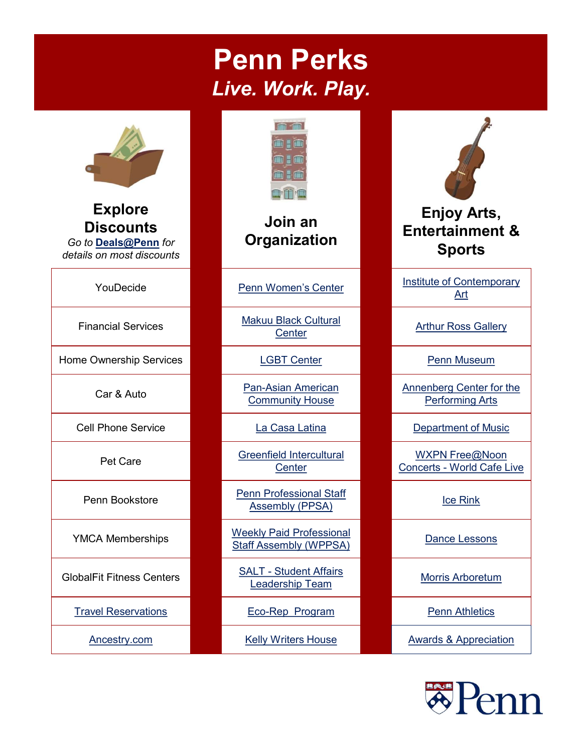## Penn Perks Live. Work. Play.



Explore **Discounts** Go to [Deals@Penn](https://www.hr.upenn.edu/PennHR/penn-community/deals-discounts) for details on most discounts

Home Ownership Services **LGBT Center Penn Museum** Penn Museum



### Join an **Organization**

Financial Services Makuu Black Cultural

Car & Auto Pan-Asian American Community House

**Center** 

Penn Bookstore Penn Professional Staff Assembly (PPSA) **Ice Rink** 

YMCA Memberships Weekly Paid Professional Dance Lessons Staff Assembly (WPPSA)

<u>Leadership Team Morris Arboretum</u><br>Leadership Team

[Travel Reservations](https://cms.business-services.upenn.edu/penntravel/make-travel-reservations.html) **Example 20** Eco-Rep Program **Penn Athletics** Penn Athletics



# Enjoy Arts, Entertainment & Sports Entertainment&<br>
Sports<br>
Institute of Contemporary<br>
Arthur Ross Gallery<br>
Penn Museum<br>
Annenberg Center for the<br>
Performing Arts<br>
Department of Music<br>
WXPN Free@Noon<br>
Concerts - World Cafe Live<br>
Ice Rink

YouDecide **[Penn Women's Center](https://www.vpul.upenn.edu/pwc/)** Institute of Contemporary Art

**Arthur Ross Gallery** 

Annenberg Center for the Performing Arts

Cell Phone Service **La Casa Latina** Lating Department of Music

Pet Care Greenfield Intercultural MESS MESS MESS Concerts - World Cafe Live WXPN Free@Noon FinancialServices<br>
Center Carter Center Penn Museum<br>
Center Care Center Penn Museum<br>
Cell Phone Service La Casa Latina<br>
Pet Care Greenfield Intercultural<br>
Pet Care Greenfield Intercultural<br>
Penn Bookstore Penn Professiona

[Ancestry.com](http://hdl.library.upenn.edu/1017/50298) **August 2.1 Telly Writers House** [Awards & Appreciation](https://www.hr.upenn.edu/PennHR/penn-community/awards-and-appreciation)